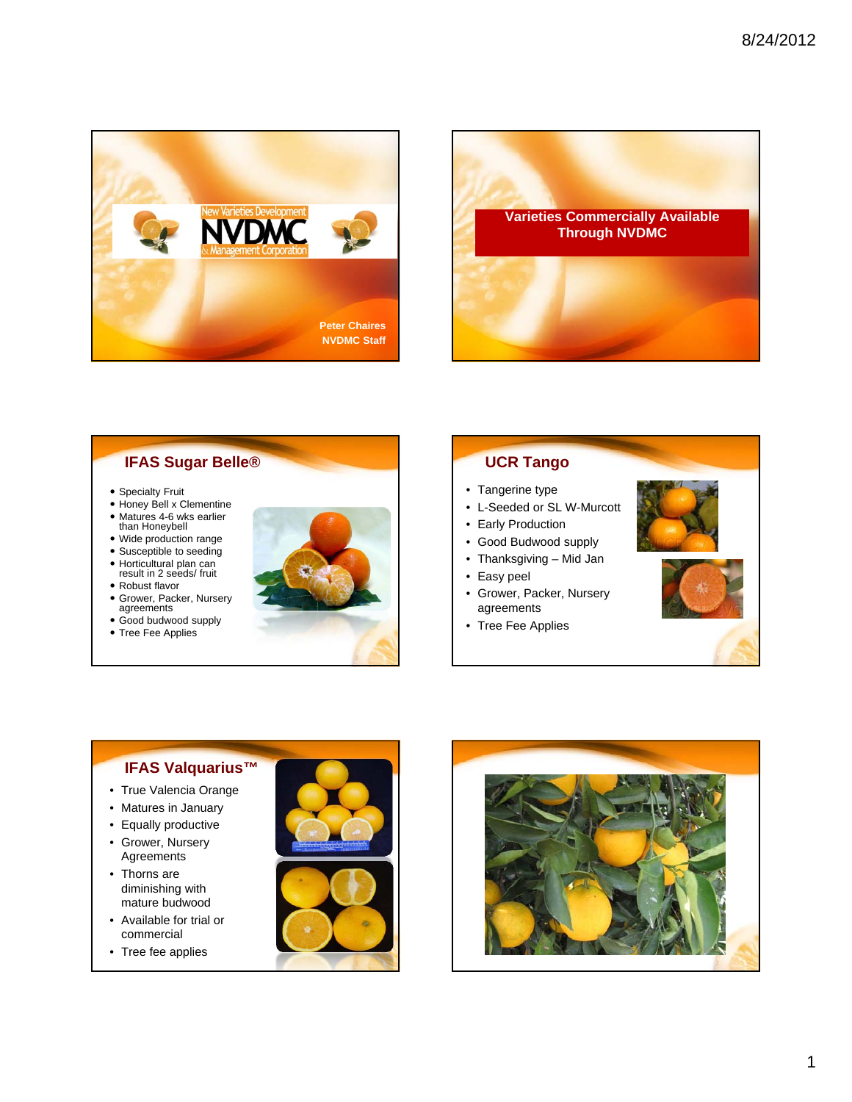



## **IFAS Sugar Belle®**

- Specialty Fruit
- Honey Bell x Clementine
- Matures 4-6 wks earlier than Honeybell
- Wide production range
- Susceptible to seeding
- Horticultural plan can result in 2 seeds/ fruit
- Robust flavor
- 
- Grower, Packer, Nursery agreements
- Good budwood supply
- Tree Fee Applies



# **UCR Tango**

- Tangerine type
- L-Seeded or SL W-Murcott
- Early Production
- Good Budwood supply
- Thanksgiving Mid Jan
- Easy peel
- Grower, Packer, Nursery agreements
- Tree Fee Applies





## **IFAS Valquarius™**

- True Valencia Orange
- Matures in January
- Equally productive
- Grower, Nursery Agreements
- Thorns are diminishing with mature budwood
- Available for trial or commercial
- Tree fee applies



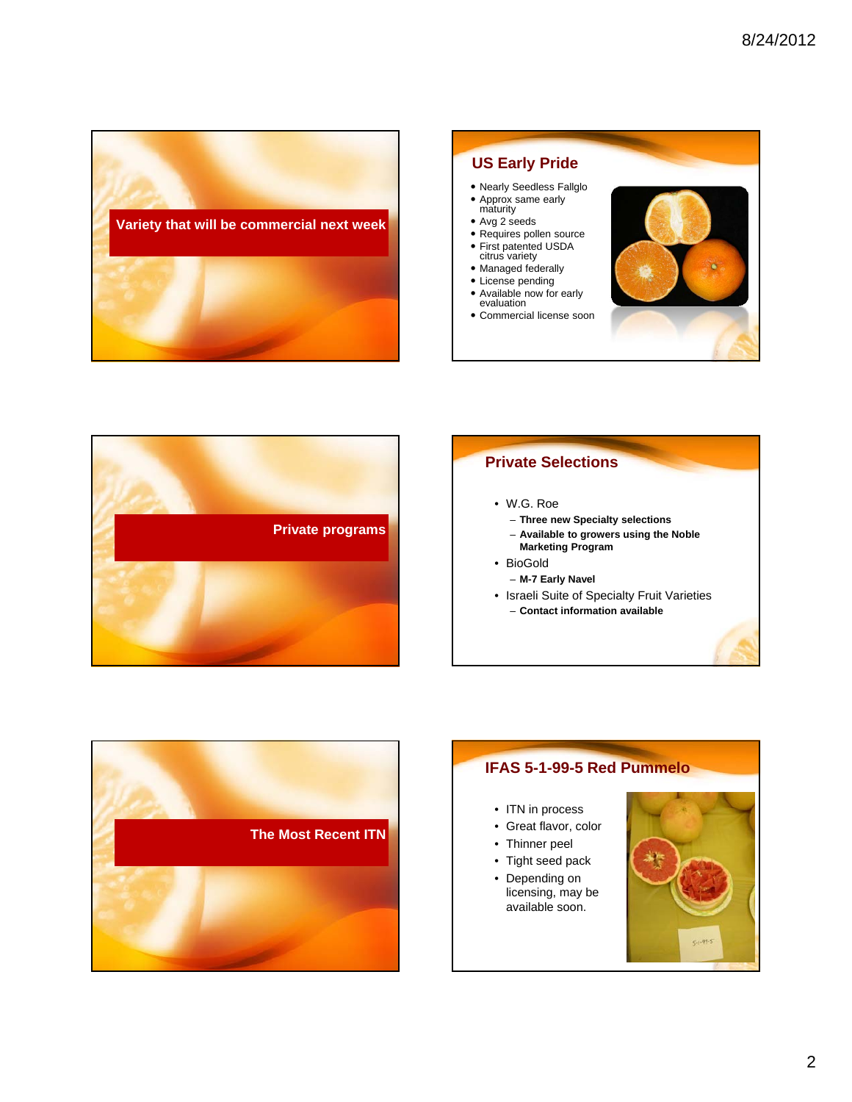





## **Private Selections**

#### • W.G. Roe

- **Three new Specialty selections**
- **Available to growers using the Noble**
- **Marketing Program**
- BioGold
	- **M-7 Early Navel**
- Israeli Suite of Specialty Fruit Varieties
	- **Contact information available**



## **IFAS 5-1-99-5 Red Pummelo** • ITN in process • Great flavor, color • Thinner peel • Tight seed pack • Depending on licensing, may be available soon. $C_{1}$  -99-3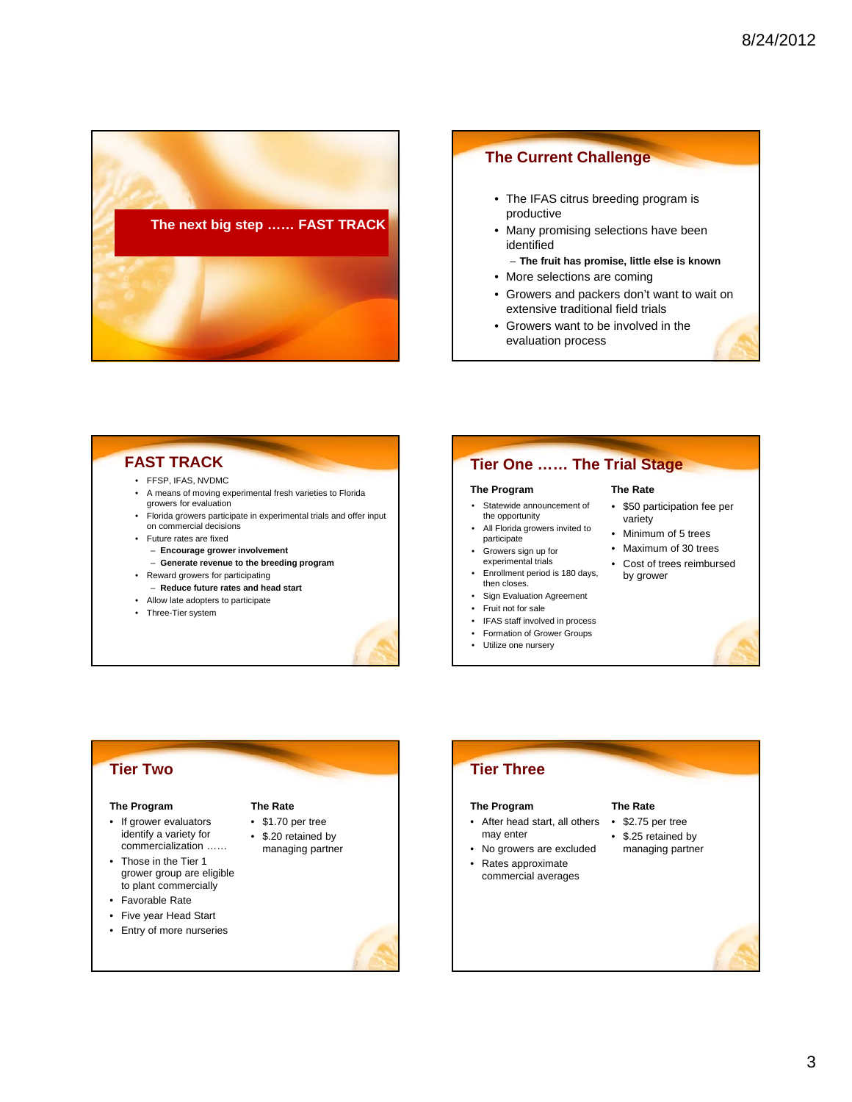



• Growers want to be involved in the evaluation process

## **FAST TRACK**

- FFSP, IFAS, NVDMC
- A means of moving experimental fresh varieties to Florida growers for evaluation
- Florida growers participate in experimental trials and offer input on commercial decisions
- Future rates are fixed
	- **Encourage grower involvement**
	- **Generate revenue to the breeding program**
- Reward growers for participating
- **Reduce future rates and head start**
- Allow late adopters to participate
- Three-Tier system

### **Tier One …… The Trial Stage**

#### **The Program**

- Statewide announcement of the opportunity
- All Florida growers invited to participate
- Growers sign up for experimental trials
- Enrollment period is 180 days, then closes
- Sign Evaluation Agreement
- Fruit not for sale
- IFAS staff involved in process
- Formation of Grower Groups
- Utilize one nursery

## **The Rate**

- \$50 participation fee per variety
- Minimum of 5 trees
- Maximum of 30 trees
- Cost of trees reimbursed by grower

## **Tier Two**

#### **The Program**

- If grower evaluators identify a variety for commercialization ……
- Those in the Tier 1 grower group are eligible to plant commercially
- Favorable Rate
- Five year Head Start
- Entry of more nurseries

## **The Rate**

- \$1.70 per tree • \$.20 retained by
- managing partner

# **Tier Three The Program**

- After head start, all others
- may enter
- No growers are excluded

#### • Rates approximate commercial averages

- **The Rate**
	- \$2.75 per tree
	- \$.25 retained by managing partner